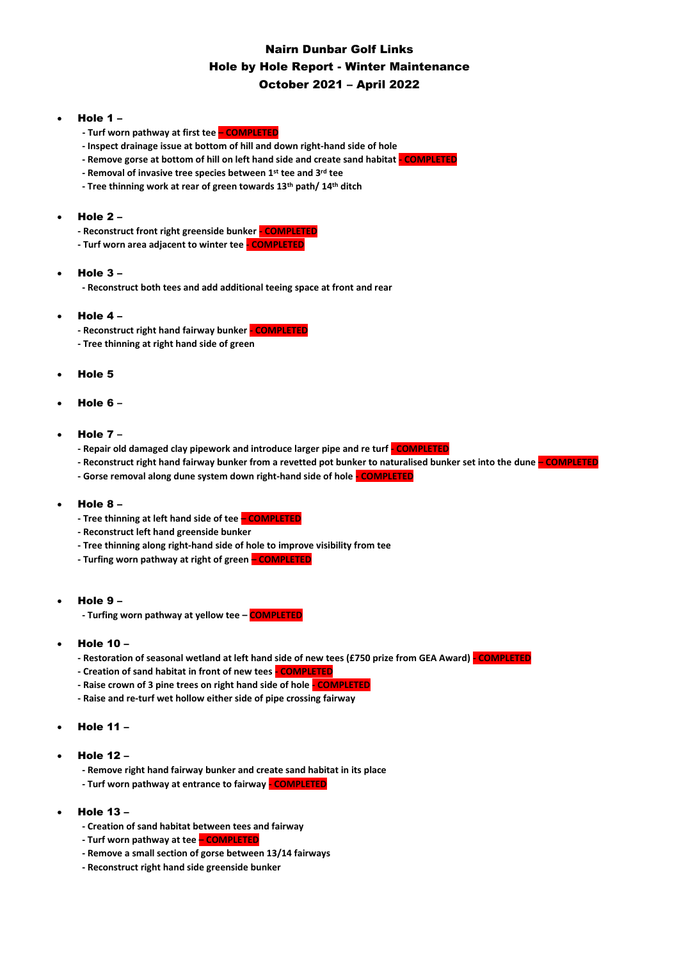# Nairn Dunbar Golf Links Hole by Hole Report - Winter Maintenance October 2021 – April 2022

### • Hole 1 –

- **- Turf worn pathway at first tee – COMPLETED**
- **- Inspect drainage issue at bottom of hill and down right-hand side of hole**
- **- Remove gorse at bottom of hill on left hand side and create sand habitat - COMPLETED**
- **- Removal of invasive tree species between 1st tee and 3rd tee**
- **- Tree thinning work at rear of green towards 13th path/ 14th ditch**

# • Hole 2 –

- **- Reconstruct front right greenside bunker - COMPLETED**
- **- Turf worn area adjacent to winter tee - COMPLETED**

### Hole  $3 -$

**- Reconstruct both tees and add additional teeing space at front and rear**

#### • Hole 4 –

- **- Reconstruct right hand fairway bunker - COMPLETED**
- **- Tree thinning at right hand side of green**

#### • Hole 5

#### • Hole 6 **–**

### • Hole 7 **–**

- **- Repair old damaged clay pipework and introduce larger pipe and re turf - COMPLETED**
- **- Reconstruct right hand fairway bunker from a revetted pot bunker to naturalised bunker set into the dune – COMPLETED**
- **- Gorse removal along dune system down right-hand side of hole - COMPLETED**

#### • Hole 8 –

- **- Tree thinning at left hand side of tee – COMPLETED**
- **- Reconstruct left hand greenside bunker**
- **- Tree thinning along right-hand side of hole to improve visibility from tee**
- **- Turfing worn pathway at right of green – COMPLETED**
- Hole 9
	- **- Turfing worn pathway at yellow tee – COMPLETED**
- Hole 10
	- **- Restoration of seasonal wetland at left hand side of new tees (£750 prize from GEA Award) - COMPLETED**
	- **- Creation of sand habitat in front of new tees - COMPLETED**
	- **- Raise crown of 3 pine trees on right hand side of hole - COMPLETED**
	- **- Raise and re-turf wet hollow either side of pipe crossing fairway**
- Hole 11 –
- Hole 12
	- **- Remove right hand fairway bunker and create sand habitat in its place**
	- **- Turf worn pathway at entrance to fairway - COMPLETED**
- Hole 13
	- **- Creation of sand habitat between tees and fairway**
	- **- Turf worn pathway at tee – COMPLETED**
	- **- Remove a small section of gorse between 13/14 fairways**
	- **- Reconstruct right hand side greenside bunker**